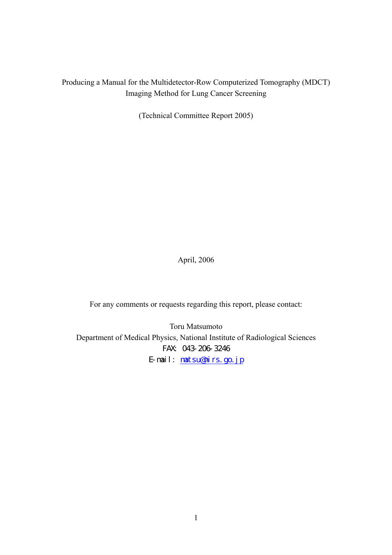# Producing a Manual for the Multidetector-Row Computerized Tomography (MDCT) Imaging Method for Lung Cancer Screening

(Technical Committee Report 2005)

April, 2006

For any comments or requests regarding this report, please contact:

Toru Matsumoto Department of Medical Physics, National Institute of Radiological Sciences FAX: 043-206-3246 E-mail: matsu@nirs.go.jp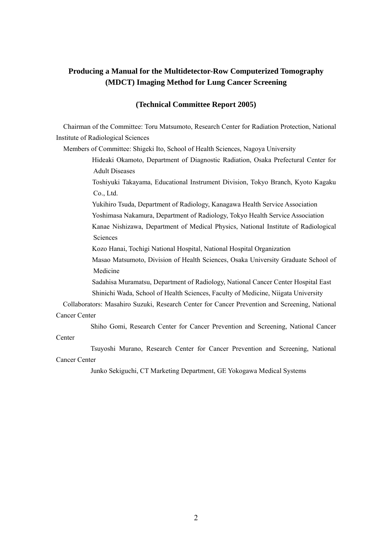# **Producing a Manual for the Multidetector-Row Computerized Tomography (MDCT) Imaging Method for Lung Cancer Screening**

#### **(Technical Committee Report 2005)**

Chairman of the Committee: Toru Matsumoto, Research Center for Radiation Protection, National Institute of Radiological Sciences

Members of Committee: Shigeki Ito, School of Health Sciences, Nagoya University

Hideaki Okamoto, Department of Diagnostic Radiation, Osaka Prefectural Center for Adult Diseases

Toshiyuki Takayama, Educational Instrument Division, Tokyo Branch, Kyoto Kagaku Co., Ltd.

Yukihiro Tsuda, Department of Radiology, Kanagawa Health Service Association Yoshimasa Nakamura, Department of Radiology, Tokyo Health Service Association Kanae Nishizawa, Department of Medical Physics, National Institute of Radiological Sciences

Kozo Hanai, Tochigi National Hospital, National Hospital Organization

Masao Matsumoto, Division of Health Sciences, Osaka University Graduate School of Medicine

Sadahisa Muramatsu, Department of Radiology, National Cancer Center Hospital East Shinichi Wada, School of Health Sciences, Faculty of Medicine, Niigata University

 Collaborators: Masahiro Suzuki, Research Center for Cancer Prevention and Screening, National Cancer Center

Shiho Gomi, Research Center for Cancer Prevention and Screening, National Cancer

 Tsuyoshi Murano, Research Center for Cancer Prevention and Screening, National Cancer Center

**Center** 

Junko Sekiguchi, CT Marketing Department, GE Yokogawa Medical Systems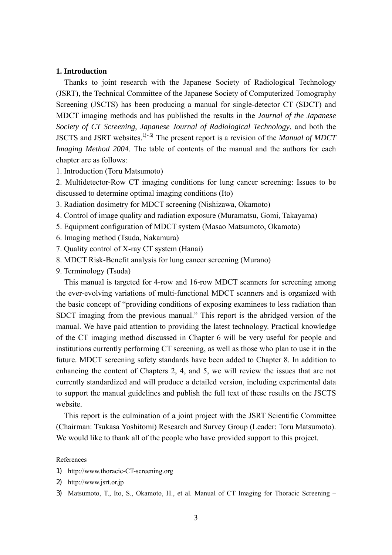## **1. Introduction**

Thanks to joint research with the Japanese Society of Radiological Technology (JSRT), the Technical Committee of the Japanese Society of Computerized Tomography Screening (JSCTS) has been producing a manual for single-detector CT (SDCT) and MDCT imaging methods and has published the results in the *Journal of the Japanese Society of CT Screening*, *Japanese Journal of Radiological Technology*, and both the JSCTS and JSRT websites.1)-5) The present report is a revision of the *Manual of MDCT Imaging Method 2004*. The table of contents of the manual and the authors for each chapter are as follows:

1. Introduction (Toru Matsumoto)

2. Multidetector-Row CT imaging conditions for lung cancer screening: Issues to be discussed to determine optimal imaging conditions (Ito)

- 3. Radiation dosimetry for MDCT screening (Nishizawa, Okamoto)
- 4. Control of image quality and radiation exposure (Muramatsu, Gomi, Takayama)
- 5. Equipment configuration of MDCT system (Masao Matsumoto, Okamoto)
- 6. Imaging method (Tsuda, Nakamura)
- 7. Quality control of X-ray CT system (Hanai)
- 8. MDCT Risk-Benefit analysis for lung cancer screening (Murano)
- 9. Terminology (Tsuda)

This manual is targeted for 4-row and 16-row MDCT scanners for screening among the ever-evolving variations of multi-functional MDCT scanners and is organized with the basic concept of "providing conditions of exposing examinees to less radiation than SDCT imaging from the previous manual." This report is the abridged version of the manual. We have paid attention to providing the latest technology. Practical knowledge of the CT imaging method discussed in Chapter 6 will be very useful for people and institutions currently performing CT screening, as well as those who plan to use it in the future. MDCT screening safety standards have been added to Chapter 8. In addition to enhancing the content of Chapters 2, 4, and 5, we will review the issues that are not currently standardized and will produce a detailed version, including experimental data to support the manual guidelines and publish the full text of these results on the JSCTS website.

This report is the culmination of a joint project with the JSRT Scientific Committee (Chairman: Tsukasa Yoshitomi) Research and Survey Group (Leader: Toru Matsumoto). We would like to thank all of the people who have provided support to this project.

#### References

- 1) http://www.thoracic-CT-screening.org
- 2) http://www.jsrt.or.jp
- 3) Matsumoto, T., Ito, S., Okamoto, H., et al. Manual of CT Imaging for Thoracic Screening –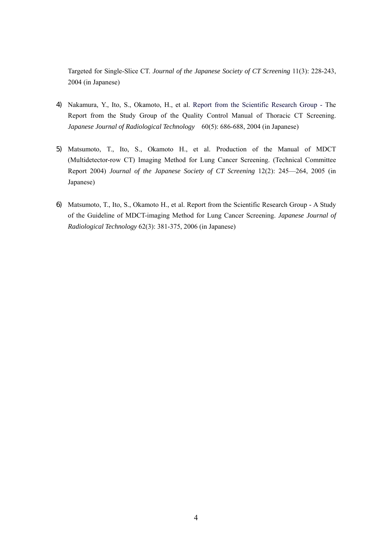Targeted for Single-Slice CT. *Journal of the Japanese Society of CT Screening* 11(3): 228-243, 2004 (in Japanese)

- 4) Nakamura, Y., Ito, S., Okamoto, H., et al. Report from the Scientific Research Group The Report from the Study Group of the Quality Control Manual of Thoracic CT Screening. *Japanese Journal of Radiological Technology* 60(5): 686-688, 2004 (in Japanese)
- 5) Matsumoto, T., Ito, S., Okamoto H., et al. Production of the Manual of MDCT (Multidetector-row CT) Imaging Method for Lung Cancer Screening. (Technical Committee Report 2004) *Journal of the Japanese Society of CT Screening* 12(2): 245—264, 2005 (in Japanese)
- 6) Matsumoto, T., Ito, S., Okamoto H., et al. Report from the Scientific Research Group A Study of the Guideline of MDCT-imaging Method for Lung Cancer Screening. *Japanese Journal of Radiological Technology* 62(3): 381-375, 2006 (in Japanese)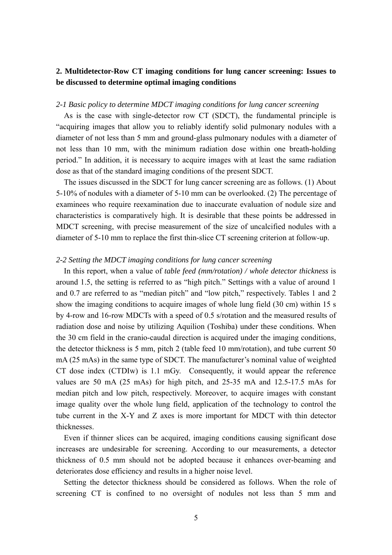# **2. Multidetector-Row CT imaging conditions for lung cancer screening: Issues to be discussed to determine optimal imaging conditions**

## *2-1 Basic policy to determine MDCT imaging conditions for lung cancer screening*

 As is the case with single-detector row CT (SDCT), the fundamental principle is "acquiring images that allow you to reliably identify solid pulmonary nodules with a diameter of not less than 5 mm and ground-glass pulmonary nodules with a diameter of not less than 10 mm, with the minimum radiation dose within one breath-holding period." In addition, it is necessary to acquire images with at least the same radiation dose as that of the standard imaging conditions of the present SDCT.

 The issues discussed in the SDCT for lung cancer screening are as follows. (1) About 5-10% of nodules with a diameter of 5-10 mm can be overlooked. (2) The percentage of examinees who require reexamination due to inaccurate evaluation of nodule size and characteristics is comparatively high. It is desirable that these points be addressed in MDCT screening, with precise measurement of the size of uncalcified nodules with a diameter of 5-10 mm to replace the first thin-slice CT screening criterion at follow-up.

#### *2-2 Setting the MDCT imaging conditions for lung cancer screening*

 In this report, when a value of *table feed (mm/rotation) / whole detector thickness* is around 1.5, the setting is referred to as "high pitch." Settings with a value of around 1 and 0.7 are referred to as "median pitch" and "low pitch," respectively. Tables 1 and 2 show the imaging conditions to acquire images of whole lung field (30 cm) within 15 s by 4-row and 16-row MDCTs with a speed of 0.5 s/rotation and the measured results of radiation dose and noise by utilizing Aquilion (Toshiba) under these conditions. When the 30 cm field in the cranio-caudal direction is acquired under the imaging conditions, the detector thickness is 5 mm, pitch 2 (table feed 10 mm/rotation), and tube current 50 mA (25 mAs) in the same type of SDCT. The manufacturer's nominal value of weighted CT dose index (CTDIw) is 1.1 mGy. Consequently, it would appear the reference values are 50 mA (25 mAs) for high pitch, and 25-35 mA and 12.5-17.5 mAs for median pitch and low pitch, respectively. Moreover, to acquire images with constant image quality over the whole lung field, application of the technology to control the tube current in the X-Y and Z axes is more important for MDCT with thin detector thicknesses.

 Even if thinner slices can be acquired, imaging conditions causing significant dose increases are undesirable for screening. According to our measurements, a detector thickness of 0.5 mm should not be adopted because it enhances over-beaming and deteriorates dose efficiency and results in a higher noise level.

 Setting the detector thickness should be considered as follows. When the role of screening CT is confined to no oversight of nodules not less than 5 mm and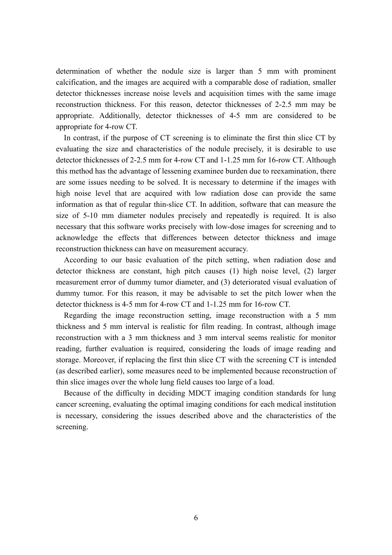determination of whether the nodule size is larger than 5 mm with prominent calcification, and the images are acquired with a comparable dose of radiation, smaller detector thicknesses increase noise levels and acquisition times with the same image reconstruction thickness. For this reason, detector thicknesses of 2-2.5 mm may be appropriate. Additionally, detector thicknesses of 4-5 mm are considered to be appropriate for 4-row CT.

 In contrast, if the purpose of CT screening is to eliminate the first thin slice CT by evaluating the size and characteristics of the nodule precisely, it is desirable to use detector thicknesses of 2-2.5 mm for 4-row CT and 1-1.25 mm for 16-row CT. Although this method has the advantage of lessening examinee burden due to reexamination, there are some issues needing to be solved. It is necessary to determine if the images with high noise level that are acquired with low radiation dose can provide the same information as that of regular thin-slice CT. In addition, software that can measure the size of 5-10 mm diameter nodules precisely and repeatedly is required. It is also necessary that this software works precisely with low-dose images for screening and to acknowledge the effects that differences between detector thickness and image reconstruction thickness can have on measurement accuracy.

 According to our basic evaluation of the pitch setting, when radiation dose and detector thickness are constant, high pitch causes (1) high noise level, (2) larger measurement error of dummy tumor diameter, and (3) deteriorated visual evaluation of dummy tumor. For this reason, it may be advisable to set the pitch lower when the detector thickness is 4-5 mm for 4-row CT and 1-1.25 mm for 16-row CT.

 Regarding the image reconstruction setting, image reconstruction with a 5 mm thickness and 5 mm interval is realistic for film reading. In contrast, although image reconstruction with a 3 mm thickness and 3 mm interval seems realistic for monitor reading, further evaluation is required, considering the loads of image reading and storage. Moreover, if replacing the first thin slice CT with the screening CT is intended (as described earlier), some measures need to be implemented because reconstruction of thin slice images over the whole lung field causes too large of a load.

 Because of the difficulty in deciding MDCT imaging condition standards for lung cancer screening, evaluating the optimal imaging conditions for each medical institution is necessary, considering the issues described above and the characteristics of the screening.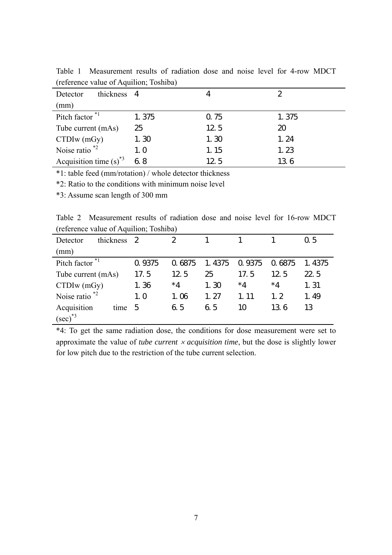| thickness 4<br>Detector     |       |      | 2     |
|-----------------------------|-------|------|-------|
| (mm)                        |       |      |       |
| Pitch factor $*1$           | 1.375 | 0.75 | 1.375 |
| Tube current (mAs)          | 25    | 12.5 | 20    |
| $CTDIw$ (mGy)               | 1.30  | 1.30 | 1.24  |
| Noise ratio $*2$            | 1.0   | 1.15 | 1.23  |
| Acquisition time $(s)^{*3}$ | 6.8   | 12.5 | 136   |

Table 1 Measurement results of radiation dose and noise level for 4-row MDCT (reference value of Aquilion; Toshiba)

\*1: table feed (mm/rotation) / whole detector thickness

\*2: Ratio to the conditions with minimum noise level

\*3: Assume scan length of 300 mm

Table 2 Measurement results of radiation dose and noise level for 16-row MDCT (reference value of Aquilion; Toshiba)  $\overline{\phantom{0}}$ 

| thickness<br>Detector        | 2      | 2      |        |        |        | 0.5    |
|------------------------------|--------|--------|--------|--------|--------|--------|
| (mm)                         |        |        |        |        |        |        |
| Pitch factor <sup>*1</sup>   | 0.9375 | 0.6875 | 1.4375 | 0.9375 | 0.6875 | 1.4375 |
| Tube current (mAs)           | 17.5   | 12.5   | 25     | 17.5   | 12.5   | 22.5   |
| $CTDIw$ (mGy)                | 1.36   | $*4$   | 1.30   | $*4$   | $*4$   | 1.31   |
| Noise ratio $*$ <sup>2</sup> | 1.0    | 1.06   | 1, 27  | 1.11   | 1, 2   | 1.49   |
| Acquisition<br>time          | 5      | 6.5    | 6.5    | 10     | 136    | 13     |
| $(\sec)^{*3}$                |        |        |        |        |        |        |

\*4: To get the same radiation dose, the conditions for dose measurement were set to approximate the value of *tube current* × *acquisition time*, but the dose is slightly lower for low pitch due to the restriction of the tube current selection.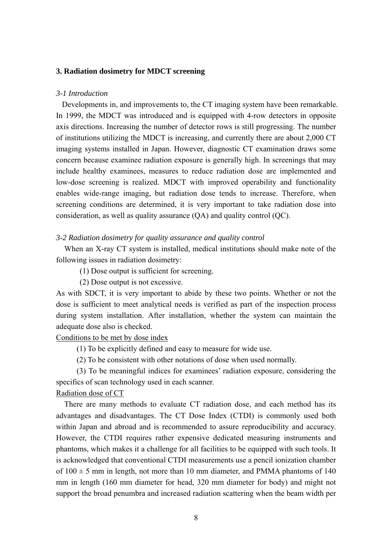### **3. Radiation dosimetry for MDCT screening**

#### *3-1 Introduction*

Developments in, and improvements to, the CT imaging system have been remarkable. In 1999, the MDCT was introduced and is equipped with 4-row detectors in opposite axis directions. Increasing the number of detector rows is still progressing. The number of institutions utilizing the MDCT is increasing, and currently there are about 2,000 CT imaging systems installed in Japan. However, diagnostic CT examination draws some concern because examinee radiation exposure is generally high. In screenings that may include healthy examinees, measures to reduce radiation dose are implemented and low-dose screening is realized. MDCT with improved operability and functionality enables wide-range imaging, but radiation dose tends to increase. Therefore, when screening conditions are determined, it is very important to take radiation dose into consideration, as well as quality assurance (QA) and quality control (QC).

## *3-2 Radiation dosimetry for quality assurance and quality control*

When an X-ray CT system is installed, medical institutions should make note of the following issues in radiation dosimetry:

(1) Dose output is sufficient for screening.

(2) Dose output is not excessive.

As with SDCT, it is very important to abide by these two points. Whether or not the dose is sufficient to meet analytical needs is verified as part of the inspection process during system installation. After installation, whether the system can maintain the adequate dose also is checked.

Conditions to be met by dose index

- (1) To be explicitly defined and easy to measure for wide use.
- (2) To be consistent with other notations of dose when used normally.

(3) To be meaningful indices for examinees' radiation exposure, considering the specifics of scan technology used in each scanner.

Radiation dose of CT

There are many methods to evaluate CT radiation dose, and each method has its advantages and disadvantages. The CT Dose Index (CTDI) is commonly used both within Japan and abroad and is recommended to assure reproducibility and accuracy. However, the CTDI requires rather expensive dedicated measuring instruments and phantoms, which makes it a challenge for all facilities to be equipped with such tools. It is acknowledged that conventional CTDI measurements use a pencil ionization chamber of  $100 \pm 5$  mm in length, not more than 10 mm diameter, and PMMA phantoms of 140 mm in length (160 mm diameter for head, 320 mm diameter for body) and might not support the broad penumbra and increased radiation scattering when the beam width per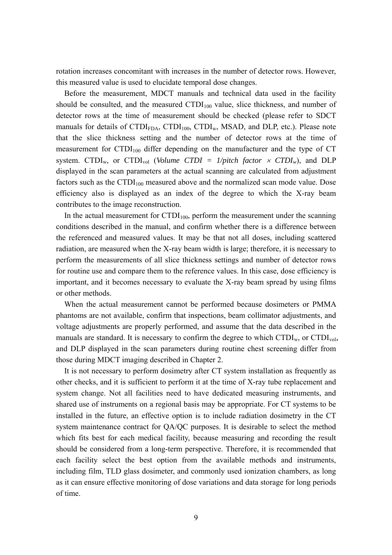rotation increases concomitant with increases in the number of detector rows. However, this measured value is used to elucidate temporal dose changes.

Before the measurement, MDCT manuals and technical data used in the facility should be consulted, and the measured  $\text{CTDI}_{100}$  value, slice thickness, and number of detector rows at the time of measurement should be checked (please refer to SDCT manuals for details of  $\text{CTDI}_{\text{FDA}}$ ,  $\text{CTDI}_{100}$ ,  $\text{CTDI}_{w}$ , MSAD, and DLP, etc.). Please note that the slice thickness setting and the number of detector rows at the time of measurement for  $\text{CTDI}_{100}$  differ depending on the manufacturer and the type of CT system. CTDI<sub>w</sub>, or CTDI<sub>vol</sub> (*Volume CTDI = 1/pitch factor*  $\times$  *CTDI<sub>w</sub>)*, and DLP displayed in the scan parameters at the actual scanning are calculated from adjustment factors such as the  $CTDI_{100}$  measured above and the normalized scan mode value. Dose efficiency also is displayed as an index of the degree to which the X-ray beam contributes to the image reconstruction.

In the actual measurement for  $CTDI_{100}$ , perform the measurement under the scanning conditions described in the manual, and confirm whether there is a difference between the referenced and measured values. It may be that not all doses, including scattered radiation, are measured when the X-ray beam width is large; therefore, it is necessary to perform the measurements of all slice thickness settings and number of detector rows for routine use and compare them to the reference values. In this case, dose efficiency is important, and it becomes necessary to evaluate the X-ray beam spread by using films or other methods.

When the actual measurement cannot be performed because dosimeters or PMMA phantoms are not available, confirm that inspections, beam collimator adjustments, and voltage adjustments are properly performed, and assume that the data described in the manuals are standard. It is necessary to confirm the degree to which  $\text{CTDI}_{w}$ , or  $\text{CTDI}_{vol}$ , and DLP displayed in the scan parameters during routine chest screening differ from those during MDCT imaging described in Chapter 2.

It is not necessary to perform dosimetry after CT system installation as frequently as other checks, and it is sufficient to perform it at the time of X-ray tube replacement and system change. Not all facilities need to have dedicated measuring instruments, and shared use of instruments on a regional basis may be appropriate. For CT systems to be installed in the future, an effective option is to include radiation dosimetry in the CT system maintenance contract for QA/QC purposes. It is desirable to select the method which fits best for each medical facility, because measuring and recording the result should be considered from a long-term perspective. Therefore, it is recommended that each facility select the best option from the available methods and instruments, including film, TLD glass dosimeter, and commonly used ionization chambers, as long as it can ensure effective monitoring of dose variations and data storage for long periods of time.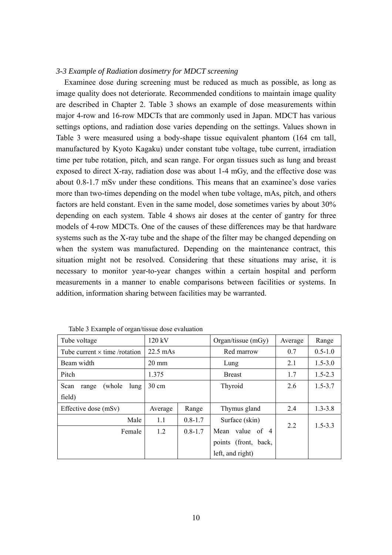#### *3-3 Example of Radiation dosimetry for MDCT screening*

Examinee dose during screening must be reduced as much as possible, as long as image quality does not deteriorate. Recommended conditions to maintain image quality are described in Chapter 2. Table 3 shows an example of dose measurements within major 4-row and 16-row MDCTs that are commonly used in Japan. MDCT has various settings options, and radiation dose varies depending on the settings. Values shown in Table 3 were measured using a body-shape tissue equivalent phantom (164 cm tall, manufactured by Kyoto Kagaku) under constant tube voltage, tube current, irradiation time per tube rotation, pitch, and scan range. For organ tissues such as lung and breast exposed to direct X-ray, radiation dose was about 1-4 mGy, and the effective dose was about 0.8-1.7 mSv under these conditions. This means that an examinee's dose varies more than two-times depending on the model when tube voltage, mAs, pitch, and others factors are held constant. Even in the same model, dose sometimes varies by about 30% depending on each system. Table 4 shows air doses at the center of gantry for three models of 4-row MDCTs. One of the causes of these differences may be that hardware systems such as the X-ray tube and the shape of the filter may be changed depending on when the system was manufactured. Depending on the maintenance contract, this situation might not be resolved. Considering that these situations may arise, it is necessary to monitor year-to-year changes within a certain hospital and perform measurements in a manner to enable comparisons between facilities or systems. In addition, information sharing between facilities may be warranted.

| Tube voltage                         | 120 kV             |             | Organ/tissue $(mGy)$ | Average | Range       |
|--------------------------------------|--------------------|-------------|----------------------|---------|-------------|
| Tube current $\times$ time /rotation | $22.5 \text{ mAs}$ |             | Red marrow           | 0.7     | $0.5 - 1.0$ |
| Beam width                           | $20 \text{ mm}$    |             | Lung                 | 2.1     | $1.5 - 3.0$ |
| Pitch                                | 1.375              |             | <b>Breast</b>        | 1.7     | $1.5 - 2.3$ |
| (whole)<br>Scan<br>lung<br>range     | $30 \text{ cm}$    |             | Thyroid              | 2.6     | $1.5 - 3.7$ |
| field)                               |                    |             |                      |         |             |
| Effective dose (mSv)                 | Average            | Range       | Thymus gland         | 2.4     | $1.3 - 3.8$ |
| Male                                 | 1.1                | $0.8 - 1.7$ | Surface (skin)       |         |             |
| Female                               | 1.2                | $0.8 - 1.7$ | Mean value of 4      | 2.2     | $1.5 - 3.3$ |
|                                      |                    |             | points (front, back, |         |             |
|                                      |                    |             | left, and right)     |         |             |

Table 3 Example of organ/tissue dose evaluation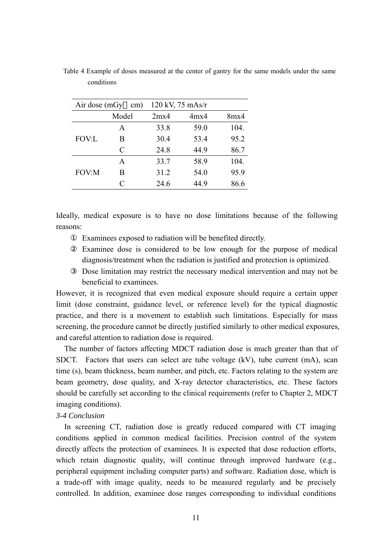| Air dose (mGy<br>cm) |       |      | 120 kV, 75 mAs/r |      |
|----------------------|-------|------|------------------|------|
|                      | Model | 2mx4 | 4mx4             | 8mx4 |
|                      | A     | 33.8 | 59.0             | 104. |
| <b>FOV:L</b>         | В     | 30.4 | 53.4             | 95.2 |
|                      | C     | 24.8 | 44.9             | 86.7 |
|                      | A     | 33.7 | 58.9             | 104. |
| FOV:M                | В     | 31.2 | 54.0             | 95.9 |
|                      | C     | 24.6 | 44.9             | 86.6 |

Table 4 Example of doses measured at the center of gantry for the same models under the same conditions

Ideally, medical exposure is to have no dose limitations because of the following reasons:

Examinees exposed to radiation will be benefited directly.

Examinee dose is considered to be low enough for the purpose of medical diagnosis/treatment when the radiation is justified and protection is optimized.

Dose limitation may restrict the necessary medical intervention and may not be beneficial to examinees.

However, it is recognized that even medical exposure should require a certain upper limit (dose constraint, guidance level, or reference level) for the typical diagnostic practice, and there is a movement to establish such limitations. Especially for mass screening, the procedure cannot be directly justified similarly to other medical exposures, and careful attention to radiation dose is required.

The number of factors affecting MDCT radiation dose is much greater than that of SDCT. Factors that users can select are tube voltage (kV), tube current (mA), scan time (s), beam thickness, beam number, and pitch, etc. Factors relating to the system are beam geometry, dose quality, and X-ray detector characteristics, etc. These factors should be carefully set according to the clinical requirements (refer to Chapter 2, MDCT imaging conditions).

## *3-4 Conclusion*

In screening CT, radiation dose is greatly reduced compared with CT imaging conditions applied in common medical facilities. Precision control of the system directly affects the protection of examinees. It is expected that dose reduction efforts, which retain diagnostic quality, will continue through improved hardware (e.g., peripheral equipment including computer parts) and software. Radiation dose, which is a trade-off with image quality, needs to be measured regularly and be precisely controlled. In addition, examinee dose ranges corresponding to individual conditions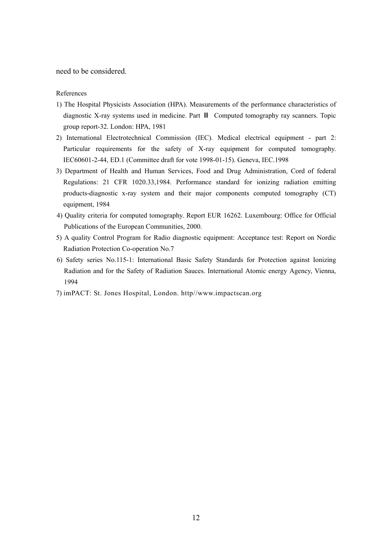need to be considered.

References

- 1) The Hospital Physicists Association (HPA). Measurements of the performance characteristics of diagnostic X-ray systems used in medicine. Part Computed tomography ray scanners. Topic group report-32. London: HPA, 1981
- 2) International Electrotechnical Commission (IEC). Medical electrical equipment part 2: Particular requirements for the safety of X-ray equipment for computed tomography. IEC60601-2-44, ED.1 (Committee draft for vote 1998-01-15). Geneva, IEC.1998
- 3) Department of Health and Human Services, Food and Drug Administration, Cord of federal Regulations: 21 CFR 1020.33,1984. Performance standard for ionizing radiation emitting products-diagnostic x-ray system and their major components computed tomography (CT) equipment, 1984
- 4) Quality criteria for computed tomography. Report EUR 16262. Luxembourg: Office for Official Publications of the European Communities, 2000.
- 5) A quality Control Program for Radio diagnostic equipment: Acceptance test: Report on Nordic Radiation Protection Co-operation No.7
- 6) Safety series No.115-1: International Basic Safety Standards for Protection against Ionizing Radiation and for the Safety of Radiation Sauces. International Atomic energy Agency, Vienna, 1994
- 7) imPACT: St. Jones Hospital, London. http//www.impactscan.org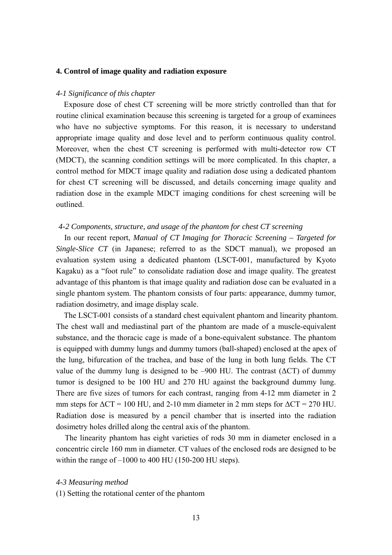### **4. Control of image quality and radiation exposure**

### *4-1 Significance of this chapter*

 Exposure dose of chest CT screening will be more strictly controlled than that for routine clinical examination because this screening is targeted for a group of examinees who have no subjective symptoms. For this reason, it is necessary to understand appropriate image quality and dose level and to perform continuous quality control. Moreover, when the chest CT screening is performed with multi-detector row CT (MDCT), the scanning condition settings will be more complicated. In this chapter, a control method for MDCT image quality and radiation dose using a dedicated phantom for chest CT screening will be discussed, and details concerning image quality and radiation dose in the example MDCT imaging conditions for chest screening will be outlined.

#### *4-2 Components, structure, and usage of the phantom for chest CT screening*

In our recent report, *Manual of CT Imaging for Thoracic Screening – Targeted for Single-Slice CT* (in Japanese; referred to as the SDCT manual), we proposed an evaluation system using a dedicated phantom (LSCT-001, manufactured by Kyoto Kagaku) as a "foot rule" to consolidate radiation dose and image quality. The greatest advantage of this phantom is that image quality and radiation dose can be evaluated in a single phantom system. The phantom consists of four parts: appearance, dummy tumor, radiation dosimetry, and image display scale.

 The LSCT-001 consists of a standard chest equivalent phantom and linearity phantom. The chest wall and mediastinal part of the phantom are made of a muscle-equivalent substance, and the thoracic cage is made of a bone-equivalent substance. The phantom is equipped with dummy lungs and dummy tumors (ball-shaped) enclosed at the apex of the lung, bifurcation of the trachea, and base of the lung in both lung fields. The CT value of the dummy lung is designed to be –900 HU. The contrast ( $\Delta CT$ ) of dummy tumor is designed to be 100 HU and 270 HU against the background dummy lung. There are five sizes of tumors for each contrast, ranging from 4-12 mm diameter in 2 mm steps for  $\Delta CT = 100$  HU, and 2-10 mm diameter in 2 mm steps for  $\Delta CT = 270$  HU. Radiation dose is measured by a pencil chamber that is inserted into the radiation dosimetry holes drilled along the central axis of the phantom.

The linearity phantom has eight varieties of rods 30 mm in diameter enclosed in a concentric circle 160 mm in diameter. CT values of the enclosed rods are designed to be within the range of  $-1000$  to 400 HU (150-200 HU steps).

#### *4-3 Measuring method*

(1) Setting the rotational center of the phantom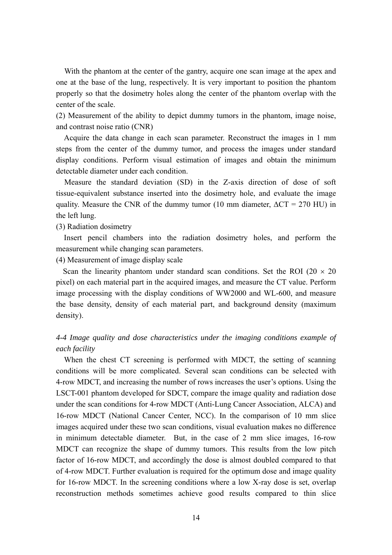With the phantom at the center of the gantry, acquire one scan image at the apex and one at the base of the lung, respectively. It is very important to position the phantom properly so that the dosimetry holes along the center of the phantom overlap with the center of the scale.

(2) Measurement of the ability to depict dummy tumors in the phantom, image noise, and contrast noise ratio (CNR)

 Acquire the data change in each scan parameter. Reconstruct the images in 1 mm steps from the center of the dummy tumor, and process the images under standard display conditions. Perform visual estimation of images and obtain the minimum detectable diameter under each condition.

Measure the standard deviation (SD) in the Z-axis direction of dose of soft tissue-equivalent substance inserted into the dosimetry hole, and evaluate the image quality. Measure the CNR of the dummy tumor (10 mm diameter,  $\Delta CT = 270$  HU) in the left lung.

(3) Radiation dosimetry

 Insert pencil chambers into the radiation dosimetry holes, and perform the measurement while changing scan parameters.

(4) Measurement of image display scale

Scan the linearity phantom under standard scan conditions. Set the ROI ( $20 \times 20$ ) pixel) on each material part in the acquired images, and measure the CT value. Perform image processing with the display conditions of WW2000 and WL-600, and measure the base density, density of each material part, and background density (maximum density).

# *4-4 Image quality and dose characteristics under the imaging conditions example of each facility*

 When the chest CT screening is performed with MDCT, the setting of scanning conditions will be more complicated. Several scan conditions can be selected with 4-row MDCT, and increasing the number of rows increases the user's options. Using the LSCT-001 phantom developed for SDCT, compare the image quality and radiation dose under the scan conditions for 4-row MDCT (Anti-Lung Cancer Association, ALCA) and 16-row MDCT (National Cancer Center, NCC). In the comparison of 10 mm slice images acquired under these two scan conditions, visual evaluation makes no difference in minimum detectable diameter. But, in the case of 2 mm slice images, 16-row MDCT can recognize the shape of dummy tumors. This results from the low pitch factor of 16-row MDCT, and accordingly the dose is almost doubled compared to that of 4-row MDCT. Further evaluation is required for the optimum dose and image quality for 16-row MDCT. In the screening conditions where a low X-ray dose is set, overlap reconstruction methods sometimes achieve good results compared to thin slice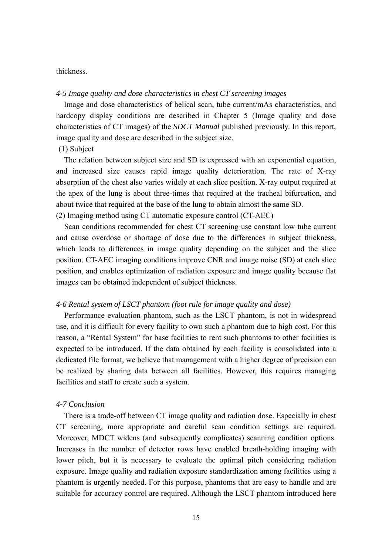### thickness.

### *4-5 Image quality and dose characteristics in chest CT screening images*

 Image and dose characteristics of helical scan, tube current/mAs characteristics, and hardcopy display conditions are described in Chapter 5 (Image quality and dose characteristics of CT images) of the *SDCT Manual* published previously. In this report, image quality and dose are described in the subject size.

## (1) Subject

 The relation between subject size and SD is expressed with an exponential equation, and increased size causes rapid image quality deterioration. The rate of X-ray absorption of the chest also varies widely at each slice position. X-ray output required at the apex of the lung is about three-times that required at the tracheal bifurcation, and about twice that required at the base of the lung to obtain almost the same SD. (2) Imaging method using CT automatic exposure control (CT-AEC)

Scan conditions recommended for chest CT screening use constant low tube current and cause overdose or shortage of dose due to the differences in subject thickness, which leads to differences in image quality depending on the subject and the slice position. CT-AEC imaging conditions improve CNR and image noise (SD) at each slice position, and enables optimization of radiation exposure and image quality because flat images can be obtained independent of subject thickness.

### *4-6 Rental system of LSCT phantom (foot rule for image quality and dose)*

Performance evaluation phantom, such as the LSCT phantom, is not in widespread use, and it is difficult for every facility to own such a phantom due to high cost. For this reason, a "Rental System" for base facilities to rent such phantoms to other facilities is expected to be introduced. If the data obtained by each facility is consolidated into a dedicated file format, we believe that management with a higher degree of precision can be realized by sharing data between all facilities. However, this requires managing facilities and staff to create such a system.

## *4-7 Conclusion*

There is a trade-off between CT image quality and radiation dose. Especially in chest CT screening, more appropriate and careful scan condition settings are required. Moreover, MDCT widens (and subsequently complicates) scanning condition options. Increases in the number of detector rows have enabled breath-holding imaging with lower pitch, but it is necessary to evaluate the optimal pitch considering radiation exposure. Image quality and radiation exposure standardization among facilities using a phantom is urgently needed. For this purpose, phantoms that are easy to handle and are suitable for accuracy control are required. Although the LSCT phantom introduced here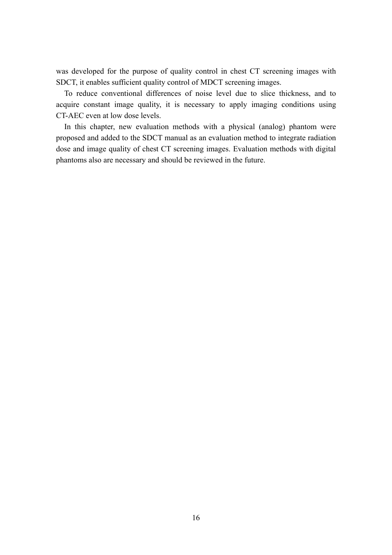was developed for the purpose of quality control in chest CT screening images with SDCT, it enables sufficient quality control of MDCT screening images.

To reduce conventional differences of noise level due to slice thickness, and to acquire constant image quality, it is necessary to apply imaging conditions using CT-AEC even at low dose levels.

In this chapter, new evaluation methods with a physical (analog) phantom were proposed and added to the SDCT manual as an evaluation method to integrate radiation dose and image quality of chest CT screening images. Evaluation methods with digital phantoms also are necessary and should be reviewed in the future.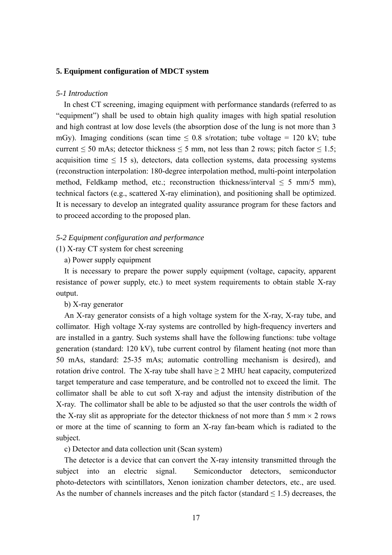## **5. Equipment configuration of MDCT system**

#### *5-1 Introduction*

 In chest CT screening, imaging equipment with performance standards (referred to as "equipment") shall be used to obtain high quality images with high spatial resolution and high contrast at low dose levels (the absorption dose of the lung is not more than 3 mGy). Imaging conditions (scan time  $\leq 0.8$  s/rotation; tube voltage = 120 kV; tube current  $\leq$  50 mAs; detector thickness  $\leq$  5 mm, not less than 2 rows; pitch factor  $\leq$  1.5; acquisition time  $\leq$  15 s), detectors, data collection systems, data processing systems (reconstruction interpolation: 180-degree interpolation method, multi-point interpolation method, Feldkamp method, etc.; reconstruction thickness/interval  $\leq$  5 mm/5 mm), technical factors (e.g., scattered X-ray elimination), and positioning shall be optimized. It is necessary to develop an integrated quality assurance program for these factors and to proceed according to the proposed plan.

#### *5-2 Equipment configuration and performance*

(1) X-ray CT system for chest screening

## a) Power supply equipment

It is necessary to prepare the power supply equipment (voltage, capacity, apparent resistance of power supply, etc.) to meet system requirements to obtain stable X-ray output.

## b) X-ray generator

An X-ray generator consists of a high voltage system for the X-ray, X-ray tube, and collimator. High voltage X-ray systems are controlled by high-frequency inverters and are installed in a gantry. Such systems shall have the following functions: tube voltage generation (standard: 120 kV), tube current control by filament heating (not more than 50 mAs, standard: 25-35 mAs; automatic controlling mechanism is desired), and rotation drive control. The X-ray tube shall have  $\geq 2$  MHU heat capacity, computerized target temperature and case temperature, and be controlled not to exceed the limit. The collimator shall be able to cut soft X-ray and adjust the intensity distribution of the X-ray. The collimator shall be able to be adjusted so that the user controls the width of the X-ray slit as appropriate for the detector thickness of not more than 5 mm  $\times$  2 rows or more at the time of scanning to form an X-ray fan-beam which is radiated to the subject.

c) Detector and data collection unit (Scan system)

The detector is a device that can convert the X-ray intensity transmitted through the subject into an electric signal. Semiconductor detectors, semiconductor photo-detectors with scintillators, Xenon ionization chamber detectors, etc., are used. As the number of channels increases and the pitch factor (standard  $\leq$  1.5) decreases, the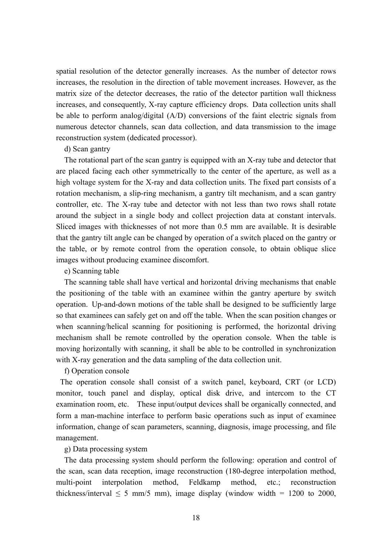spatial resolution of the detector generally increases. As the number of detector rows increases, the resolution in the direction of table movement increases. However, as the matrix size of the detector decreases, the ratio of the detector partition wall thickness increases, and consequently, X-ray capture efficiency drops. Data collection units shall be able to perform analog/digital (A/D) conversions of the faint electric signals from numerous detector channels, scan data collection, and data transmission to the image reconstruction system (dedicated processor).

### d) Scan gantry

The rotational part of the scan gantry is equipped with an X-ray tube and detector that are placed facing each other symmetrically to the center of the aperture, as well as a high voltage system for the X-ray and data collection units. The fixed part consists of a rotation mechanism, a slip-ring mechanism, a gantry tilt mechanism, and a scan gantry controller, etc. The X-ray tube and detector with not less than two rows shall rotate around the subject in a single body and collect projection data at constant intervals. Sliced images with thicknesses of not more than 0.5 mm are available. It is desirable that the gantry tilt angle can be changed by operation of a switch placed on the gantry or the table, or by remote control from the operation console, to obtain oblique slice images without producing examinee discomfort.

#### e) Scanning table

The scanning table shall have vertical and horizontal driving mechanisms that enable the positioning of the table with an examinee within the gantry aperture by switch operation. Up-and-down motions of the table shall be designed to be sufficiently large so that examinees can safely get on and off the table. When the scan position changes or when scanning/helical scanning for positioning is performed, the horizontal driving mechanism shall be remote controlled by the operation console. When the table is moving horizontally with scanning, it shall be able to be controlled in synchronization with X-ray generation and the data sampling of the data collection unit.

## f) Operation console

The operation console shall consist of a switch panel, keyboard, CRT (or LCD) monitor, touch panel and display, optical disk drive, and intercom to the CT examination room, etc. These input/output devices shall be organically connected, and form a man-machine interface to perform basic operations such as input of examinee information, change of scan parameters, scanning, diagnosis, image processing, and file management.

#### g) Data processing system

The data processing system should perform the following: operation and control of the scan, scan data reception, image reconstruction (180-degree interpolation method, multi-point interpolation method, Feldkamp method, etc.; reconstruction thickness/interval  $\leq$  5 mm/5 mm), image display (window width = 1200 to 2000,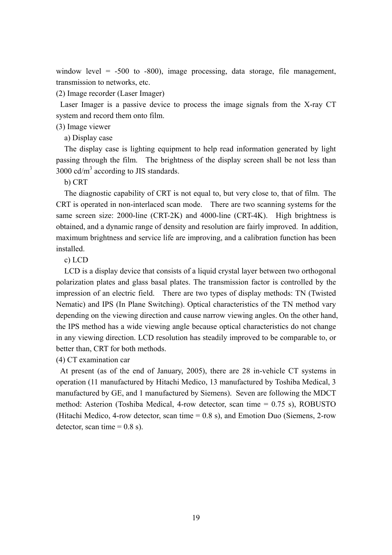window level  $= -500$  to  $-800$ , image processing, data storage, file management, transmission to networks, etc.

(2) Image recorder (Laser Imager)

Laser Imager is a passive device to process the image signals from the X-ray CT system and record them onto film.

# (3) Image viewer

a) Display case

The display case is lighting equipment to help read information generated by light passing through the film. The brightness of the display screen shall be not less than 3000  $cd/m<sup>3</sup>$  according to JIS standards.

## b) CRT

The diagnostic capability of CRT is not equal to, but very close to, that of film. The CRT is operated in non-interlaced scan mode. There are two scanning systems for the same screen size: 2000-line (CRT-2K) and 4000-line (CRT-4K). High brightness is obtained, and a dynamic range of density and resolution are fairly improved. In addition, maximum brightness and service life are improving, and a calibration function has been installed.

c) LCD

LCD is a display device that consists of a liquid crystal layer between two orthogonal polarization plates and glass basal plates. The transmission factor is controlled by the impression of an electric field. There are two types of display methods: TN (Twisted Nematic) and IPS (In Plane Switching). Optical characteristics of the TN method vary depending on the viewing direction and cause narrow viewing angles. On the other hand, the IPS method has a wide viewing angle because optical characteristics do not change in any viewing direction. LCD resolution has steadily improved to be comparable to, or better than, CRT for both methods.

(4) CT examination car

At present (as of the end of January, 2005), there are 28 in-vehicle CT systems in operation (11 manufactured by Hitachi Medico, 13 manufactured by Toshiba Medical, 3 manufactured by GE, and 1 manufactured by Siemens). Seven are following the MDCT method: Asterion (Toshiba Medical, 4-row detector, scan time = 0.75 s), ROBUSTO (Hitachi Medico, 4-row detector, scan time = 0.8 s), and Emotion Duo (Siemens, 2-row detector, scan time  $= 0.8$  s).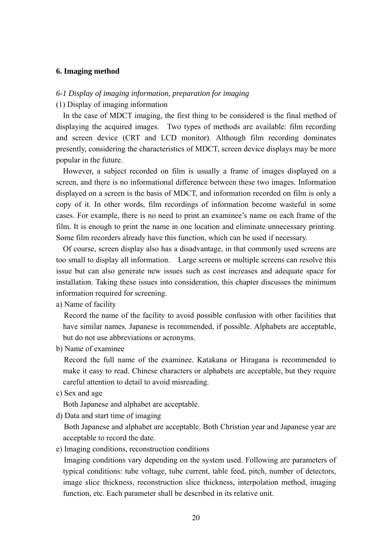## **6. Imaging method**

## *6-1 Display of imaging information, preparation for imaging*

## (1) Display of imaging information

In the case of MDCT imaging, the first thing to be considered is the final method of displaying the acquired images. Two types of methods are available: film recording and screen device (CRT and LCD monitor). Although film recording dominates presently, considering the characteristics of MDCT, screen device displays may be more popular in the future.

However, a subject recorded on film is usually a frame of images displayed on a screen, and there is no informational difference between these two images. Information displayed on a screen is the basis of MDCT, and information recorded on film is only a copy of it. In other words, film recordings of information become wasteful in some cases. For example, there is no need to print an examinee's name on each frame of the film. It is enough to print the name in one location and eliminate unnecessary printing. Some film recorders already have this function, which can be used if necessary.

Of course, screen display also has a disadvantage, in that commonly used screens are too small to display all information. Large screens or multiple screens can resolve this issue but can also generate new issues such as cost increases and adequate space for installation. Taking these issues into consideration, this chapter discusses the minimum information required for screening.

a) Name of facility

Record the name of the facility to avoid possible confusion with other facilities that have similar names. Japanese is recommended, if possible. Alphabets are acceptable, but do not use abbreviations or acronyms.

b) Name of examinee

Record the full name of the examinee. Katakana or Hiragana is recommended to make it easy to read. Chinese characters or alphabets are acceptable, but they require careful attention to detail to avoid misreading.

c) Sex and age

Both Japanese and alphabet are acceptable.

d) Data and start time of imaging

Both Japanese and alphabet are acceptable. Both Christian year and Japanese year are acceptable to record the date.

e) Imaging conditions, reconstruction conditions

Imaging conditions vary depending on the system used. Following are parameters of typical conditions: tube voltage, tube current, table feed, pitch, number of detectors, image slice thickness, reconstruction slice thickness, interpolation method, imaging function, etc. Each parameter shall be described in its relative unit.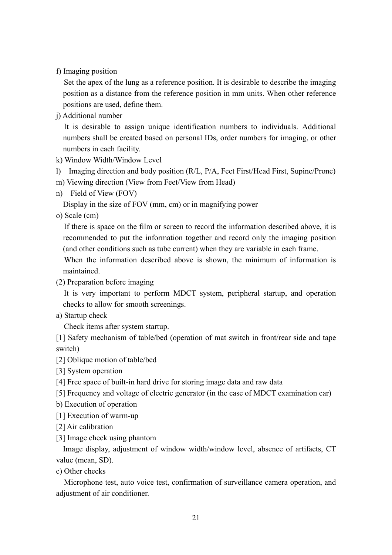f) Imaging position

 Set the apex of the lung as a reference position. It is desirable to describe the imaging position as a distance from the reference position in mm units. When other reference positions are used, define them.

j) Additional number

 It is desirable to assign unique identification numbers to individuals. Additional numbers shall be created based on personal IDs, order numbers for imaging, or other numbers in each facility.

- k) Window Width/Window Level
- l) Imaging direction and body position (R/L, P/A, Feet First/Head First, Supine/Prone)
- m) Viewing direction (View from Feet/View from Head)
- n) Field of View (FOV)

Display in the size of FOV (mm, cm) or in magnifying power

o) Scale (cm)

If there is space on the film or screen to record the information described above, it is recommended to put the information together and record only the imaging position (and other conditions such as tube current) when they are variable in each frame.

When the information described above is shown, the minimum of information is maintained.

(2) Preparation before imaging

 It is very important to perform MDCT system, peripheral startup, and operation checks to allow for smooth screenings.

a) Startup check

Check items after system startup.

[1] Safety mechanism of table/bed (operation of mat switch in front/rear side and tape switch)

- [2] Oblique motion of table/bed
- [3] System operation
- [4] Free space of built-in hard drive for storing image data and raw data
- [5] Frequency and voltage of electric generator (in the case of MDCT examination car)
- b) Execution of operation
- [1] Execution of warm-up
- [2] Air calibration
- [3] Image check using phantom

Image display, adjustment of window width/window level, absence of artifacts, CT value (mean, SD).

c) Other checks

 Microphone test, auto voice test, confirmation of surveillance camera operation, and adjustment of air conditioner.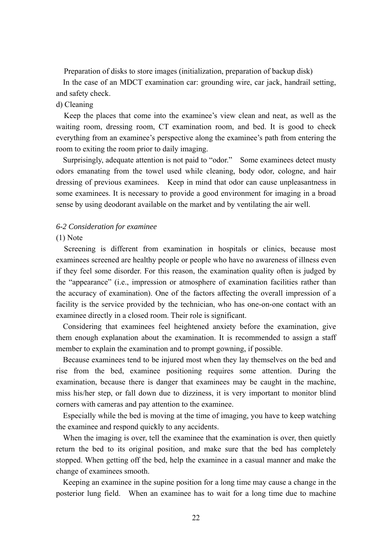Preparation of disks to store images (initialization, preparation of backup disk)

In the case of an MDCT examination car: grounding wire, car jack, handrail setting, and safety check.

## d) Cleaning

 Keep the places that come into the examinee's view clean and neat, as well as the waiting room, dressing room, CT examination room, and bed. It is good to check everything from an examinee's perspective along the examinee's path from entering the room to exiting the room prior to daily imaging.

Surprisingly, adequate attention is not paid to "odor." Some examinees detect musty odors emanating from the towel used while cleaning, body odor, cologne, and hair dressing of previous examinees. Keep in mind that odor can cause unpleasantness in some examinees. It is necessary to provide a good environment for imaging in a broad sense by using deodorant available on the market and by ventilating the air well.

## *6-2 Consideration for examinee*

## (1) Note

 Screening is different from examination in hospitals or clinics, because most examinees screened are healthy people or people who have no awareness of illness even if they feel some disorder. For this reason, the examination quality often is judged by the "appearance" (i.e., impression or atmosphere of examination facilities rather than the accuracy of examination). One of the factors affecting the overall impression of a facility is the service provided by the technician, who has one-on-one contact with an examinee directly in a closed room. Their role is significant.

Considering that examinees feel heightened anxiety before the examination, give them enough explanation about the examination. It is recommended to assign a staff member to explain the examination and to prompt gowning, if possible.

Because examinees tend to be injured most when they lay themselves on the bed and rise from the bed, examinee positioning requires some attention. During the examination, because there is danger that examinees may be caught in the machine, miss his/her step, or fall down due to dizziness, it is very important to monitor blind corners with cameras and pay attention to the examinee.

Especially while the bed is moving at the time of imaging, you have to keep watching the examinee and respond quickly to any accidents.

When the imaging is over, tell the examinee that the examination is over, then quietly return the bed to its original position, and make sure that the bed has completely stopped. When getting off the bed, help the examinee in a casual manner and make the change of examinees smooth.

Keeping an examinee in the supine position for a long time may cause a change in the posterior lung field. When an examinee has to wait for a long time due to machine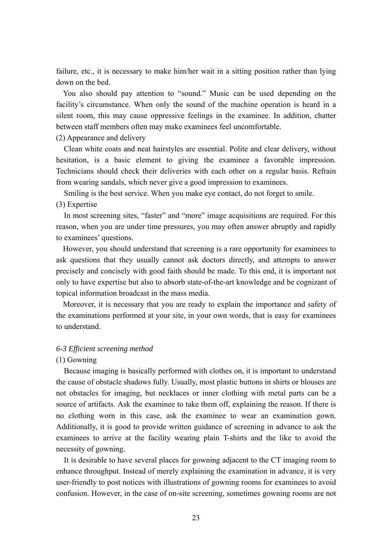failure, etc., it is necessary to make him/her wait in a sitting position rather than lying down on the bed.

You also should pay attention to "sound." Music can be used depending on the facility's circumstance. When only the sound of the machine operation is heard in a silent room, this may cause oppressive feelings in the examinee. In addition, chatter between staff members often may make examinees feel uncomfortable.

## (2) Appearance and delivery

 Clean white coats and neat hairstyles are essential. Polite and clear delivery, without hesitation, is a basic element to giving the examinee a favorable impression. Technicians should check their deliveries with each other on a regular basis. Refrain from wearing sandals, which never give a good impression to examinees.

 Smiling is the best service. When you make eye contact, do not forget to smile. (3) Expertise

 In most screening sites, "faster" and "more" image acquisitions are required. For this reason, when you are under time pressures, you may often answer abruptly and rapidly to examinees' questions.

However, you should understand that screening is a rare opportunity for examinees to ask questions that they usually cannot ask doctors directly, and attempts to answer precisely and concisely with good faith should be made. To this end, it is important not only to have expertise but also to absorb state-of-the-art knowledge and be cognizant of topical information broadcast in the mass media.

Moreover, it is necessary that you are ready to explain the importance and safety of the examinations performed at your site, in your own words, that is easy for examinees to understand.

### *6-3 Efficient screening method*

## (1) Gowning

 Because imaging is basically performed with clothes on, it is important to understand the cause of obstacle shadows fully. Usually, most plastic buttons in shirts or blouses are not obstacles for imaging, but necklaces or inner clothing with metal parts can be a source of artifacts. Ask the examinee to take them off, explaining the reason. If there is no clothing worn in this case, ask the examinee to wear an examination gown. Additionally, it is good to provide written guidance of screening in advance to ask the examinees to arrive at the facility wearing plain T-shirts and the like to avoid the necessity of gowning.

 It is desirable to have several places for gowning adjacent to the CT imaging room to enhance throughput. Instead of merely explaining the examination in advance, it is very user-friendly to post notices with illustrations of gowning rooms for examinees to avoid confusion. However, in the case of on-site screening, sometimes gowning rooms are not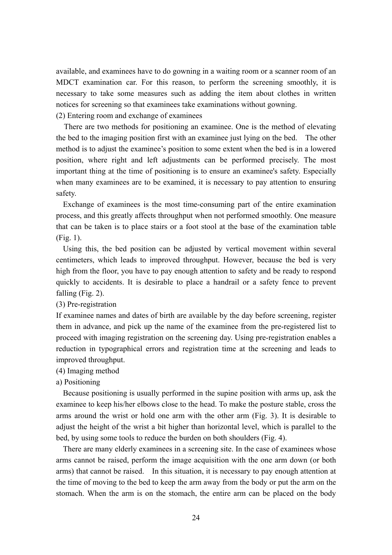available, and examinees have to do gowning in a waiting room or a scanner room of an MDCT examination car. For this reason, to perform the screening smoothly, it is necessary to take some measures such as adding the item about clothes in written notices for screening so that examinees take examinations without gowning.

(2) Entering room and exchange of examinees

 There are two methods for positioning an examinee. One is the method of elevating the bed to the imaging position first with an examinee just lying on the bed. The other method is to adjust the examinee's position to some extent when the bed is in a lowered position, where right and left adjustments can be performed precisely. The most important thing at the time of positioning is to ensure an examinee's safety. Especially when many examinees are to be examined, it is necessary to pay attention to ensuring safety.

Exchange of examinees is the most time-consuming part of the entire examination process, and this greatly affects throughput when not performed smoothly. One measure that can be taken is to place stairs or a foot stool at the base of the examination table (Fig. 1).

Using this, the bed position can be adjusted by vertical movement within several centimeters, which leads to improved throughput. However, because the bed is very high from the floor, you have to pay enough attention to safety and be ready to respond quickly to accidents. It is desirable to place a handrail or a safety fence to prevent falling (Fig. 2).

(3) Pre-registration

If examinee names and dates of birth are available by the day before screening, register them in advance, and pick up the name of the examinee from the pre-registered list to proceed with imaging registration on the screening day. Using pre-registration enables a reduction in typographical errors and registration time at the screening and leads to improved throughput.

## (4) Imaging method

a) Positioning

Because positioning is usually performed in the supine position with arms up, ask the examinee to keep his/her elbows close to the head. To make the posture stable, cross the arms around the wrist or hold one arm with the other arm (Fig. 3). It is desirable to adjust the height of the wrist a bit higher than horizontal level, which is parallel to the bed, by using some tools to reduce the burden on both shoulders (Fig. 4).

There are many elderly examinees in a screening site. In the case of examinees whose arms cannot be raised, perform the image acquisition with the one arm down (or both arms) that cannot be raised. In this situation, it is necessary to pay enough attention at the time of moving to the bed to keep the arm away from the body or put the arm on the stomach. When the arm is on the stomach, the entire arm can be placed on the body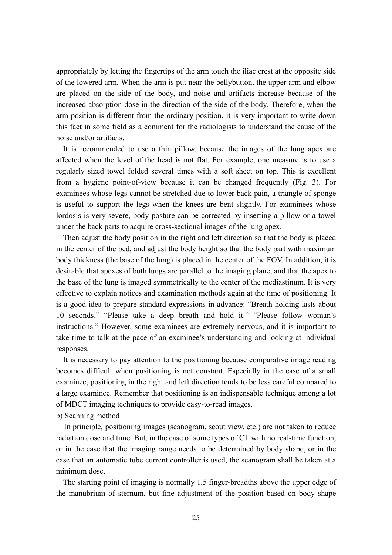appropriately by letting the fingertips of the arm touch the iliac crest at the opposite side of the lowered arm. When the arm is put near the bellybutton, the upper arm and elbow are placed on the side of the body, and noise and artifacts increase because of the increased absorption dose in the direction of the side of the body. Therefore, when the arm position is different from the ordinary position, it is very important to write down this fact in some field as a comment for the radiologists to understand the cause of the noise and/or artifacts.

It is recommended to use a thin pillow, because the images of the lung apex are affected when the level of the head is not flat. For example, one measure is to use a regularly sized towel folded several times with a soft sheet on top. This is excellent from a hygiene point-of-view because it can be changed frequently (Fig. 3). For examinees whose legs cannot be stretched due to lower back pain, a triangle of sponge is useful to support the legs when the knees are bent slightly. For examinees whose lordosis is very severe, body posture can be corrected by inserting a pillow or a towel under the back parts to acquire cross-sectional images of the lung apex.

Then adjust the body position in the right and left direction so that the body is placed in the center of the bed, and adjust the body height so that the body part with maximum body thickness (the base of the lung) is placed in the center of the FOV. In addition, it is desirable that apexes of both lungs are parallel to the imaging plane, and that the apex to the base of the lung is imaged symmetrically to the center of the mediastinum. It is very effective to explain notices and examination methods again at the time of positioning. It is a good idea to prepare standard expressions in advance: "Breath-holding lasts about 10 seconds." "Please take a deep breath and hold it." "Please follow woman's instructions." However, some examinees are extremely nervous, and it is important to take time to talk at the pace of an examinee's understanding and looking at individual responses.

It is necessary to pay attention to the positioning because comparative image reading becomes difficult when positioning is not constant. Especially in the case of a small examinee, positioning in the right and left direction tends to be less careful compared to a large examinee. Remember that positioning is an indispensable technique among a lot of MDCT imaging techniques to provide easy-to-read images.

b) Scanning method

 In principle, positioning images (scanogram, scout view, etc.) are not taken to reduce radiation dose and time. But, in the case of some types of CT with no real-time function, or in the case that the imaging range needs to be determined by body shape, or in the case that an automatic tube current controller is used, the scanogram shall be taken at a minimum dose.

The starting point of imaging is normally 1.5 finger-breadths above the upper edge of the manubrium of sternum, but fine adjustment of the position based on body shape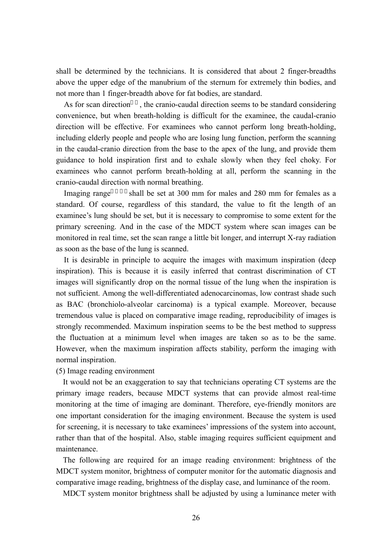shall be determined by the technicians. It is considered that about 2 finger-breadths above the upper edge of the manubrium of the sternum for extremely thin bodies, and not more than 1 finger-breadth above for fat bodies, are standard.

As for scan direction, the cranio-caudal direction seems to be standard considering convenience, but when breath-holding is difficult for the examinee, the caudal-cranio direction will be effective. For examinees who cannot perform long breath-holding, including elderly people and people who are losing lung function, perform the scanning in the caudal-cranio direction from the base to the apex of the lung, and provide them guidance to hold inspiration first and to exhale slowly when they feel choky. For examinees who cannot perform breath-holding at all, perform the scanning in the cranio-caudal direction with normal breathing.

Imaging range shall be set at 300 mm for males and 280 mm for females as a standard. Of course, regardless of this standard, the value to fit the length of an examinee's lung should be set, but it is necessary to compromise to some extent for the primary screening. And in the case of the MDCT system where scan images can be monitored in real time, set the scan range a little bit longer, and interrupt X-ray radiation as soon as the base of the lung is scanned.

 It is desirable in principle to acquire the images with maximum inspiration (deep inspiration). This is because it is easily inferred that contrast discrimination of CT images will significantly drop on the normal tissue of the lung when the inspiration is not sufficient. Among the well-differentiated adenocarcinomas, low contrast shade such as BAC (bronchiolo-alveolar carcinoma) is a typical example. Moreover, because tremendous value is placed on comparative image reading, reproducibility of images is strongly recommended. Maximum inspiration seems to be the best method to suppress the fluctuation at a minimum level when images are taken so as to be the same. However, when the maximum inspiration affects stability, perform the imaging with normal inspiration.

## (5) Image reading environment

It would not be an exaggeration to say that technicians operating CT systems are the primary image readers, because MDCT systems that can provide almost real-time monitoring at the time of imaging are dominant. Therefore, eye-friendly monitors are one important consideration for the imaging environment. Because the system is used for screening, it is necessary to take examinees' impressions of the system into account, rather than that of the hospital. Also, stable imaging requires sufficient equipment and maintenance.

The following are required for an image reading environment: brightness of the MDCT system monitor, brightness of computer monitor for the automatic diagnosis and comparative image reading, brightness of the display case, and luminance of the room.

MDCT system monitor brightness shall be adjusted by using a luminance meter with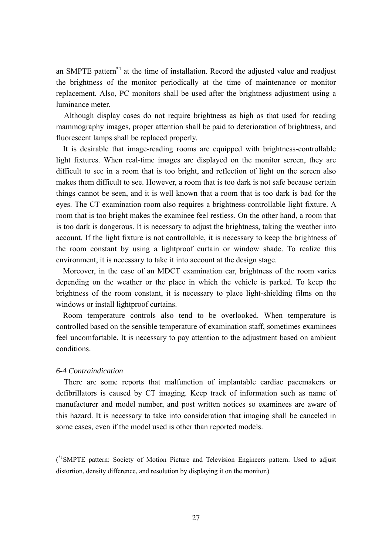an SMPTE pattern\*1 at the time of installation. Record the adjusted value and readjust the brightness of the monitor periodically at the time of maintenance or monitor replacement. Also, PC monitors shall be used after the brightness adjustment using a luminance meter.

 Although display cases do not require brightness as high as that used for reading mammography images, proper attention shall be paid to deterioration of brightness, and fluorescent lamps shall be replaced properly.

It is desirable that image-reading rooms are equipped with brightness-controllable light fixtures. When real-time images are displayed on the monitor screen, they are difficult to see in a room that is too bright, and reflection of light on the screen also makes them difficult to see. However, a room that is too dark is not safe because certain things cannot be seen, and it is well known that a room that is too dark is bad for the eyes. The CT examination room also requires a brightness-controllable light fixture. A room that is too bright makes the examinee feel restless. On the other hand, a room that is too dark is dangerous. It is necessary to adjust the brightness, taking the weather into account. If the light fixture is not controllable, it is necessary to keep the brightness of the room constant by using a lightproof curtain or window shade. To realize this environment, it is necessary to take it into account at the design stage.

Moreover, in the case of an MDCT examination car, brightness of the room varies depending on the weather or the place in which the vehicle is parked. To keep the brightness of the room constant, it is necessary to place light-shielding films on the windows or install lightproof curtains.

Room temperature controls also tend to be overlooked. When temperature is controlled based on the sensible temperature of examination staff, sometimes examinees feel uncomfortable. It is necessary to pay attention to the adjustment based on ambient conditions.

## *6-4 Contraindication*

There are some reports that malfunction of implantable cardiac pacemakers or defibrillators is caused by CT imaging. Keep track of information such as name of manufacturer and model number, and post written notices so examinees are aware of this hazard. It is necessary to take into consideration that imaging shall be canceled in some cases, even if the model used is other than reported models.

<sup>\*1</sup>SMPTE pattern: Society of Motion Picture and Television Engineers pattern. Used to adjust distortion, density difference, and resolution by displaying it on the monitor.)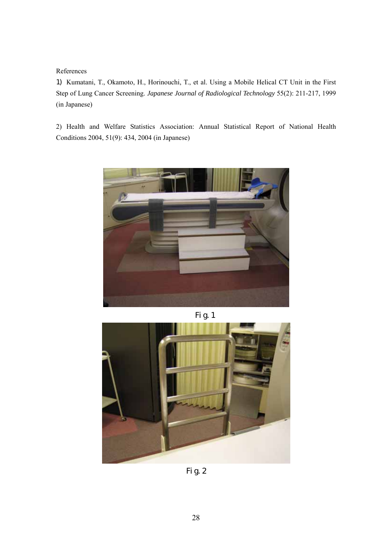References

1) Kumatani, T., Okamoto, H., Horinouchi, T., et al. Using a Mobile Helical CT Unit in the First Step of Lung Cancer Screening. *Japanese Journal of Radiological Technology* 55(2): 211-217, 1999 (in Japanese)

2) Health and Welfare Statistics Association: Annual Statistical Report of National Health Conditions 2004, 51(9): 434, 2004 (in Japanese)







Fig.2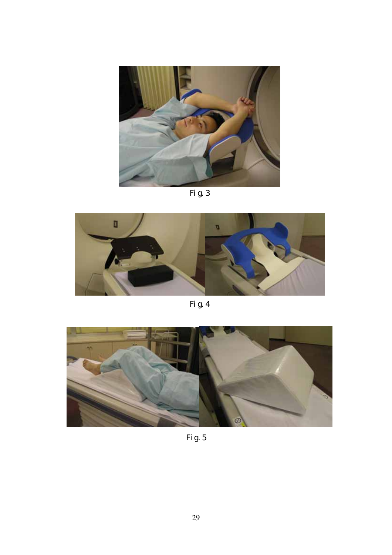

Fig.3



Fig.4



Fig.5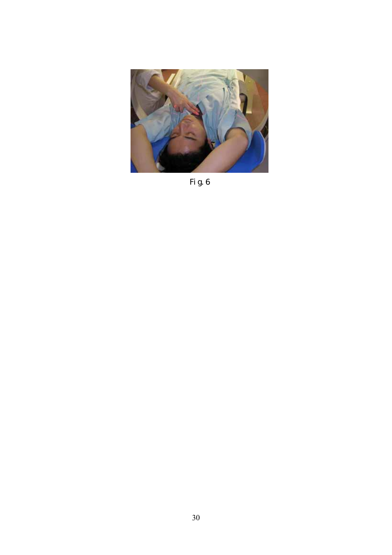

Fig.6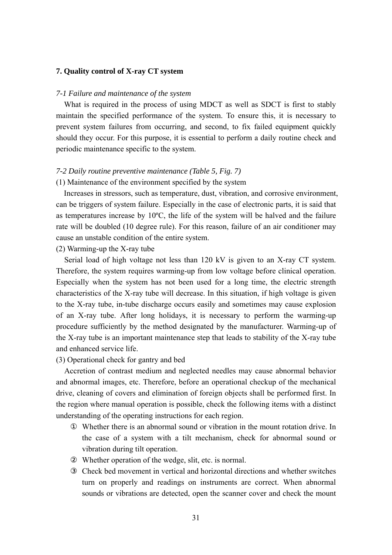### **7. Quality control of X-ray CT system**

#### *7-1 Failure and maintenance of the system*

What is required in the process of using MDCT as well as SDCT is first to stably maintain the specified performance of the system. To ensure this, it is necessary to prevent system failures from occurring, and second, to fix failed equipment quickly should they occur. For this purpose, it is essential to perform a daily routine check and periodic maintenance specific to the system.

## *7-2 Daily routine preventive maintenance (Table 5, Fig. 7)*

#### (1) Maintenance of the environment specified by the system

 Increases in stressors, such as temperature, dust, vibration, and corrosive environment, can be triggers of system failure. Especially in the case of electronic parts, it is said that as temperatures increase by 10ºC, the life of the system will be halved and the failure rate will be doubled (10 degree rule). For this reason, failure of an air conditioner may cause an unstable condition of the entire system.

(2) Warming-up the X-ray tube

Serial load of high voltage not less than 120 kV is given to an X-ray CT system. Therefore, the system requires warming-up from low voltage before clinical operation. Especially when the system has not been used for a long time, the electric strength characteristics of the X-ray tube will decrease. In this situation, if high voltage is given to the X-ray tube, in-tube discharge occurs easily and sometimes may cause explosion of an X-ray tube. After long holidays, it is necessary to perform the warming-up procedure sufficiently by the method designated by the manufacturer. Warming-up of the X-ray tube is an important maintenance step that leads to stability of the X-ray tube and enhanced service life.

#### (3) Operational check for gantry and bed

Accretion of contrast medium and neglected needles may cause abnormal behavior and abnormal images, etc. Therefore, before an operational checkup of the mechanical drive, cleaning of covers and elimination of foreign objects shall be performed first. In the region where manual operation is possible, check the following items with a distinct understanding of the operating instructions for each region.

Whether there is an abnormal sound or vibration in the mount rotation drive. In the case of a system with a tilt mechanism, check for abnormal sound or vibration during tilt operation.

Whether operation of the wedge, slit, etc. is normal.

③ Check bed movement in vertical and horizontal directions and whether switches turn on properly and readings on instruments are correct. When abnormal sounds or vibrations are detected, open the scanner cover and check the mount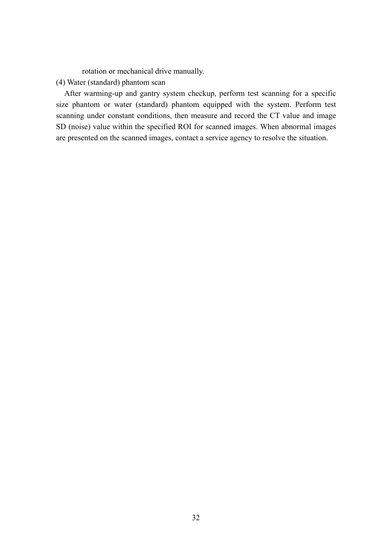rotation or mechanical drive manually.

## (4) Water (standard) phantom scan

After warming-up and gantry system checkup, perform test scanning for a specific size phantom or water (standard) phantom equipped with the system. Perform test scanning under constant conditions, then measure and record the CT value and image SD (noise) value within the specified ROI for scanned images. When abnormal images are presented on the scanned images, contact a service agency to resolve the situation.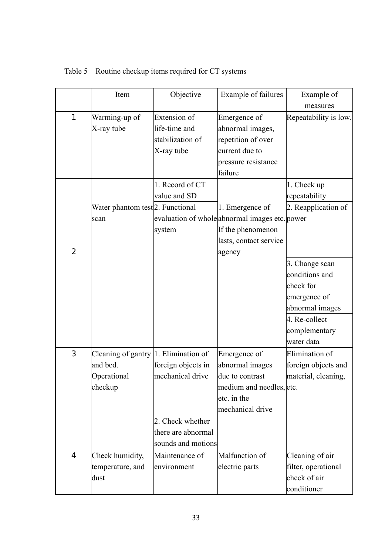|                | Item                                         | Objective           | Example of failures                            | Example of            |
|----------------|----------------------------------------------|---------------------|------------------------------------------------|-----------------------|
|                |                                              |                     |                                                | measures              |
| $\mathbf{1}$   | Warming-up of                                | <b>Extension</b> of | Emergence of                                   | Repeatability is low. |
|                | X-ray tube                                   | life-time and       | abnormal images,                               |                       |
|                |                                              | stabilization of    | repetition of over                             |                       |
|                |                                              | X-ray tube          | current due to                                 |                       |
|                |                                              |                     | pressure resistance                            |                       |
|                |                                              |                     | failure                                        |                       |
|                |                                              | 1. Record of CT     |                                                | 1. Check up           |
|                |                                              | value and SD        |                                                | repeatability         |
|                | Water phantom test <sup>2</sup> . Functional |                     | 1. Emergence of                                | 2. Reapplication of   |
|                | scan                                         |                     | evaluation of whole abnormal images etc. power |                       |
|                |                                              | system              | If the phenomenon                              |                       |
|                |                                              |                     | lasts, contact service                         |                       |
| $\overline{c}$ |                                              |                     | agency                                         |                       |
|                |                                              |                     |                                                | 3. Change scan        |
|                |                                              |                     |                                                | conditions and        |
|                |                                              |                     |                                                | check for             |
|                |                                              |                     |                                                | emergence of          |
|                |                                              |                     |                                                | abnormal images       |
|                |                                              |                     |                                                | 4. Re-collect         |
|                |                                              |                     |                                                | complementary         |
|                |                                              |                     |                                                | water data            |
| 3              | Cleaning of gantry 1. Elimination of         |                     | Emergence of                                   | Elimination of        |
|                | and bed.                                     | foreign objects in  | abnormal images                                | foreign objects and   |
|                | Operational                                  | mechanical drive    | due to contrast                                | material, cleaning,   |
|                | checkup                                      |                     | medium and needles, etc.                       |                       |
|                |                                              |                     | etc. in the                                    |                       |
|                |                                              |                     | mechanical drive                               |                       |
|                |                                              | 2. Check whether    |                                                |                       |
|                |                                              | there are abnormal  |                                                |                       |
|                |                                              | sounds and motions  |                                                |                       |
| $\overline{4}$ | Check humidity,                              | Maintenance of      | Malfunction of                                 | Cleaning of air       |
|                | temperature, and                             | environment         | electric parts                                 | filter, operational   |
|                | dust                                         |                     |                                                | check of air          |
|                |                                              |                     |                                                | conditioner           |

Table 5 Routine checkup items required for CT systems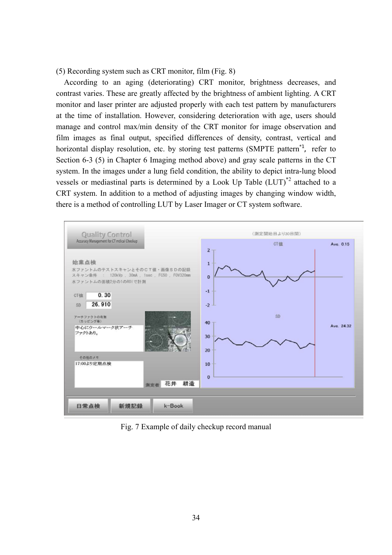(5) Recording system such as CRT monitor, film (Fig. 8)

 According to an aging (deteriorating) CRT monitor, brightness decreases, and contrast varies. These are greatly affected by the brightness of ambient lighting. A CRT monitor and laser printer are adjusted properly with each test pattern by manufacturers at the time of installation. However, considering deterioration with age, users should manage and control max/min density of the CRT monitor for image observation and film images as final output, specified differences of density, contrast, vertical and horizontal display resolution, etc. by storing test patterns (SMPTE pattern<sup>\*1</sup>, refer to Section 6-3 (5) in Chapter 6 Imaging method above) and gray scale patterns in the CT system. In the images under a lung field condition, the ability to depict intra-lung blood vessels or mediastinal parts is determined by a Look Up Table (LUT)\*2 attached to a CRT system. In addition to a method of adjusting images by changing window width, there is a method of controlling LUT by Laser Imager or CT system software.



Fig. 7 Example of daily checkup record manual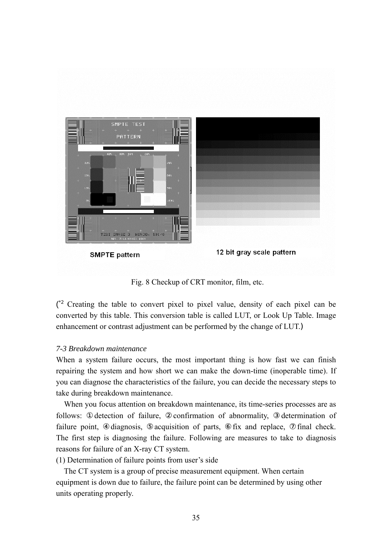

Fig. 8 Checkup of CRT monitor, film, etc.

 $\int_{0}^{2}$  Creating the table to convert pixel to pixel value, density of each pixel can be converted by this table. This conversion table is called LUT, or Look Up Table. Image enhancement or contrast adjustment can be performed by the change of LUT.)

# *7-3 Breakdown maintenance*

When a system failure occurs, the most important thing is how fast we can finish repairing the system and how short we can make the down-time (inoperable time). If you can diagnose the characteristics of the failure, you can decide the necessary steps to take during breakdown maintenance.

 When you focus attention on breakdown maintenance, its time-series processes are as follows: detection of failure, confirmation of abnormality, determination of failure point, diagnosis, acquisition of parts, fix and replace, final check. The first step is diagnosing the failure. Following are measures to take to diagnosis reasons for failure of an X-ray CT system.

(1) Determination of failure points from user's side

 The CT system is a group of precise measurement equipment. When certain equipment is down due to failure, the failure point can be determined by using other units operating properly.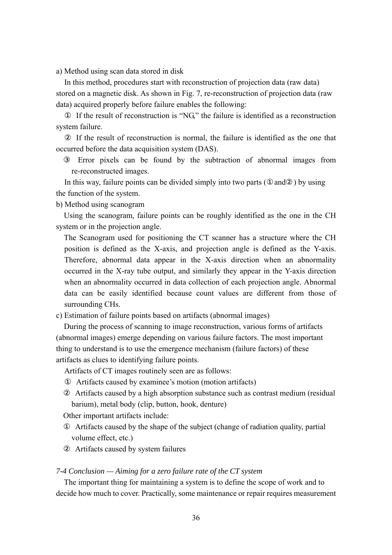a) Method using scan data stored in disk

In this method, procedures start with reconstruction of projection data (raw data) stored on a magnetic disk. As shown in Fig. 7, re-reconstruction of projection data (raw data) acquired properly before failure enables the following:

If the result of reconstruction is "NG," the failure is identified as a reconstruction system failure.

If the result of reconstruction is normal, the failure is identified as the one that occurred before the data acquisition system (DAS).

Error pixels can be found by the subtraction of abnormal images from re-reconstructed images.

In this way, failure points can be divided simply into two parts  $($  and  $)$  by using the function of the system.

b) Method using scanogram

 Using the scanogram, failure points can be roughly identified as the one in the CH system or in the projection angle.

 The Scanogram used for positioning the CT scanner has a structure where the CH position is defined as the X-axis, and projection angle is defined as the Y-axis. Therefore, abnormal data appear in the X-axis direction when an abnormality occurred in the X-ray tube output, and similarly they appear in the Y-axis direction when an abnormality occurred in data collection of each projection angle. Abnormal data can be easily identified because count values are different from those of surrounding CHs.

c) Estimation of failure points based on artifacts (abnormal images)

 During the process of scanning to image reconstruction, various forms of artifacts (abnormal images) emerge depending on various failure factors. The most important thing to understand is to use the emergence mechanism (failure factors) of these artifacts as clues to identifying failure points.

Artifacts of CT images routinely seen are as follows:

Artifacts caused by examinee's motion (motion artifacts)

Artifacts caused by a high absorption substance such as contrast medium (residual barium), metal body (clip, button, hook, denture)

Other important artifacts include:

Artifacts caused by the shape of the subject (change of radiation quality, partial volume effect, etc.)

Artifacts caused by system failures

#### *7-4 Conclusion — Aiming for a zero failure rate of the CT system*

 The important thing for maintaining a system is to define the scope of work and to decide how much to cover. Practically, some maintenance or repair requires measurement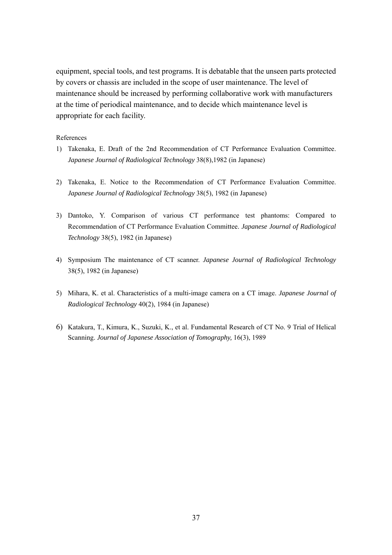equipment, special tools, and test programs. It is debatable that the unseen parts protected by covers or chassis are included in the scope of user maintenance. The level of maintenance should be increased by performing collaborative work with manufacturers at the time of periodical maintenance, and to decide which maintenance level is appropriate for each facility.

#### References

- 1) Takenaka, E. Draft of the 2nd Recommendation of CT Performance Evaluation Committee. *Japanese Journal of Radiological Technology* 38(8),1982 (in Japanese)
- 2) Takenaka, E. Notice to the Recommendation of CT Performance Evaluation Committee. *Japanese Journal of Radiological Technology* 38(5), 1982 (in Japanese)
- 3) Dantoko, Y. Comparison of various CT performance test phantoms: Compared to Recommendation of CT Performance Evaluation Committee. *Japanese Journal of Radiological Technology* 38(5), 1982 (in Japanese)
- 4) Symposium The maintenance of CT scanner. *Japanese Journal of Radiological Technology* 38(5), 1982 (in Japanese)
- 5) Mihara, K. et al. Characteristics of a multi-image camera on a CT image. *Japanese Journal of Radiological Technology* 40(2), 1984 (in Japanese)
- 6) Katakura, T., Kimura, K., Suzuki, K., et al. Fundamental Research of CT No. 9 Trial of Helical Scanning. *Journal of Japanese Association of Tomography,* 16(3), 1989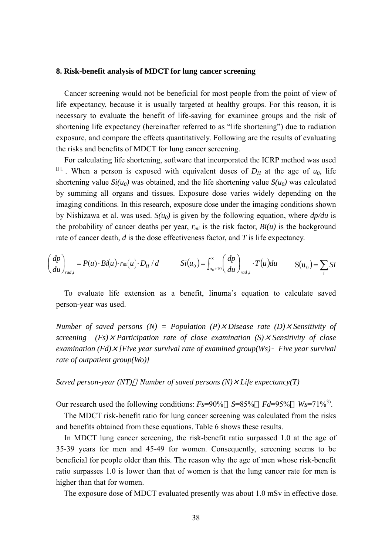#### **8. Risk-benefit analysis of MDCT for lung cancer screening**

Cancer screening would not be beneficial for most people from the point of view of life expectancy, because it is usually targeted at healthy groups. For this reason, it is necessary to evaluate the benefit of life-saving for examinee groups and the risk of shortening life expectancy (hereinafter referred to as "life shortening") due to radiation exposure, and compare the effects quantitatively. Following are the results of evaluating the risks and benefits of MDCT for lung cancer screening.

For calculating life shortening, software that incorporated the ICRP method was used . When a person is exposed with equivalent doses of  $D_H$  at the age of  $u_0$ , life shortening value  $Si(u_0)$  was obtained, and the life shortening value  $S(u_0)$  was calculated by summing all organs and tissues. Exposure dose varies widely depending on the imaging conditions. In this research, exposure dose under the imaging conditions shown by Nishizawa et al. was used. *S(u0)* is given by the following equation, where *dp/du* is the probability of cancer deaths per year,  $r_{mi}$  is the risk factor,  $Bi(u)$  is the background rate of cancer death, *d* is the dose effectiveness factor, and *T* is life expectancy.

$$
\left(\frac{dp}{du}\right)_{rad,i} = P(u) \cdot Bi(u) \cdot r_{mi}(u) \cdot D_H/d \qquad Si(u_0) = \int_{u_0+10}^{\infty} \left(\frac{dp}{du}\right)_{rad,i} \cdot T(u)du \qquad S(u_0) = \sum_i Si(u_0) = \sum_i Si(u_0) = \sum_i Si(u_0) = \sum_i Si(u_0) = \sum_i Si(u_0) = \sum_i Si(u_0) = \sum_i Si(u_0) = \sum_i Si(u_0) = \sum_i Si(u_0) = \sum_i Si(u_0) = \sum_i Si(u_0) = \sum_i Si(u_0) = \sum_i Si(u_0) = \sum_i Si(u_0) = \sum_i Si(u_0) = \sum_i Si(u_0) = \sum_i Si(u_0) = \sum_i Si(u_0) = \sum_i Si(u_0) = \sum_i Si(u_0) = \sum_i Si(u_0) = \sum_i Si(u_0) = \sum_i Si(u_0) = \sum_i Si(u_0) = \sum_i Si(u_0) = \sum_i Si(u_0) = \sum_i Si(u_0) = \sum_i Si(u_0) = \sum_i Si(u_0) = \sum_i Si(u_0) = \sum_i Si(u_0) = \sum_i Si(u_0) = \sum_i Si(u_0) = \sum_i Si(u_0) = \sum_i Si(u_0) = \sum_i Si(u_0) = \sum_i Si(u_0) = \sum_i Si(u_0) = \sum_i Si(u_0) = \sum_i Si(u_0) = \sum_i Si(u_0) = \sum_i Si(u_0) = \sum_i Si(u_0) = \sum_i Si(u_0) = \sum_i Si(u_0) = \sum_i Si(u_0) = \sum_i Si(u_0) = \sum_i Si(u_0) = \sum_i Si(u_0) = \sum_i Si(u_0) = \sum_i Si(u_0) = \sum_i Si(u_0) = \sum_i Si(u_0) = \sum_i Si(u_0) = \sum_i Si(u_0) = \sum_i Si(u_0) = \sum_i Si(u_0) = \sum_i Si(u_0) = \sum_i Si(u_0) = \sum_i Si(u_0) = \sum_i Si(u_0) = \sum_i Si(u_0) = \sum_i Si(u_0) = \sum_i Si(u_0) = \sum_i Si(u_0) = \sum_i Si(u_0) = \sum_i Si(u_0) = \sum_i Si(u_0) = \sum_i Si(u_0) = \sum_i Si(u_0) = \sum_i Si(u_0) = \sum_i Si(u_0) = \sum_i Si(u_0) = \sum_i Si(u_0) = \sum_i
$$

To evaluate life extension as a benefit, Iinuma's equation to calculate saved person-year was used.

*Number of saved persons (N) = Population (P)*×*Disease rate (D)*×*Sensitivity of screening (Fs)*×*Participation rate of close examination (S)*×*Sensitivity of close examination (Fd)*×*[Five year survival rate of examined group(Ws) Five year survival rate of outpatient group(Wo)]*

*Saved person-year (NT) Number of saved persons (N)*×*Life expectancy(T)*

Our research used the following conditions:  $Fs=90\%$  *S*=85% *Fd*=95% *Ws*=71%<sup>3</sup>.

The MDCT risk-benefit ratio for lung cancer screening was calculated from the risks and benefits obtained from these equations. Table 6 shows these results.

In MDCT lung cancer screening, the risk-benefit ratio surpassed 1.0 at the age of 35-39 years for men and 45-49 for women. Consequently, screening seems to be beneficial for people older than this. The reason why the age of men whose risk-benefit ratio surpasses 1.0 is lower than that of women is that the lung cancer rate for men is higher than that for women.

The exposure dose of MDCT evaluated presently was about 1.0 mSv in effective dose.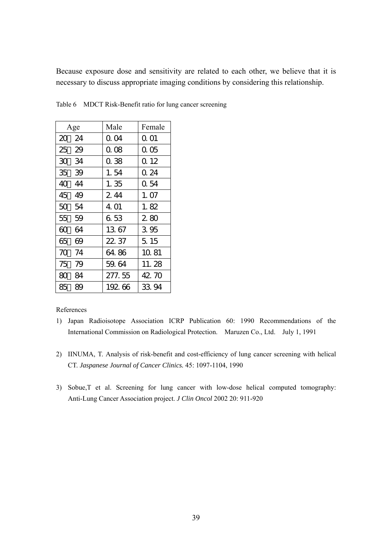Because exposure dose and sensitivity are related to each other, we believe that it is necessary to discuss appropriate imaging conditions by considering this relationship.

| Age      | Male   | Female |
|----------|--------|--------|
| 24<br>20 | 0. O4  | Q 01   |
| 25<br>29 | 0.08   | 0.05   |
| 30 34    | 0.38   | 0.12   |
| 35<br>39 | 1.54   | 0. 24  |
| 40<br>44 | 1.35   | 0.54   |
| 45<br>49 | 244    | 1.07   |
| 50<br>54 | 4.01   | 1.82   |
| 55<br>59 | 6.53   | 280    |
| 60<br>64 | 1367   | 3.95   |
| 65<br>69 | 22. 37 | 5.15   |
| 70<br>74 | 64.86  | 10.81  |
| 75<br>79 | 59.64  | 11.28  |
| 80<br>84 | 277.55 | 42.70  |
| 85<br>89 | 19266  | 33.94  |

Table 6 MDCT Risk-Benefit ratio for lung cancer screening

#### References

- 1) Japan Radioisotope Association ICRP Publication 60: 1990 Recommendations of the International Commission on Radiological Protection. Maruzen Co., Ltd. July 1, 1991
- 2) IINUMA, T. Analysis of risk-benefit and cost-efficiency of lung cancer screening with helical CT. *Jaspanese Journal of Cancer Clinics.* 45: 1097-1104, 1990
- 3) Sobue,T et al. Screening for lung cancer with low-dose helical computed tomography: Anti-Lung Cancer Association project. *J Clin Oncol* 2002 20: 911-920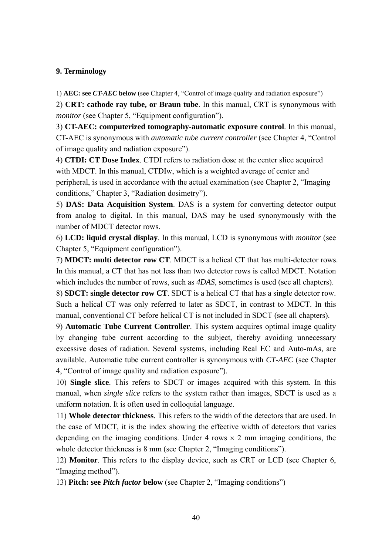# **9. Terminology**

1) **AEC: see** *CT-AEC* **below** (see Chapter 4, "Control of image quality and radiation exposure")

2) **CRT: cathode ray tube, or Braun tube**. In this manual, CRT is synonymous with *monitor* (see Chapter 5, "Equipment configuration").

3) **CT-AEC: computerized tomography-automatic exposure control**. In this manual, CT-AEC is synonymous with *automatic tube current controller* (see Chapter 4, "Control of image quality and radiation exposure").

4) **CTDI: CT Dose Index**. CTDI refers to radiation dose at the center slice acquired with MDCT. In this manual, CTDIw, which is a weighted average of center and peripheral, is used in accordance with the actual examination (see Chapter 2, "Imaging conditions," Chapter 3, "Radiation dosimetry").

5) **DAS: Data Acquisition System**. DAS is a system for converting detector output from analog to digital. In this manual, DAS may be used synonymously with the number of MDCT detector rows.

6) **LCD: liquid crystal display**. In this manual, LCD is synonymous with *monitor* (see Chapter 5, "Equipment configuration").

7) **MDCT: multi detector row CT**. MDCT is a helical CT that has multi-detector rows. In this manual, a CT that has not less than two detector rows is called MDCT. Notation which includes the number of rows, such as *4DAS*, sometimes is used (see all chapters).

8) **SDCT: single detector row CT**. SDCT is a helical CT that has a single detector row. Such a helical CT was only referred to later as SDCT, in contrast to MDCT. In this manual, conventional CT before helical CT is not included in SDCT (see all chapters).

9) **Automatic Tube Current Controller**. This system acquires optimal image quality by changing tube current according to the subject, thereby avoiding unnecessary excessive doses of radiation. Several systems, including Real EC and Auto-mAs, are available. Automatic tube current controller is synonymous with *CT-AEC* (see Chapter 4, "Control of image quality and radiation exposure").

10) **Single slice**. This refers to SDCT or images acquired with this system. In this manual, when *single slice* refers to the system rather than images, SDCT is used as a uniform notation. It is often used in colloquial language.

11) **Whole detector thickness**. This refers to the width of the detectors that are used. In the case of MDCT, it is the index showing the effective width of detectors that varies depending on the imaging conditions. Under 4 rows  $\times$  2 mm imaging conditions, the whole detector thickness is 8 mm (see Chapter 2, "Imaging conditions").

12) **Monitor**. This refers to the display device, such as CRT or LCD (see Chapter 6, "Imaging method").

13) **Pitch: see** *Pitch factor* **below** (see Chapter 2, "Imaging conditions")